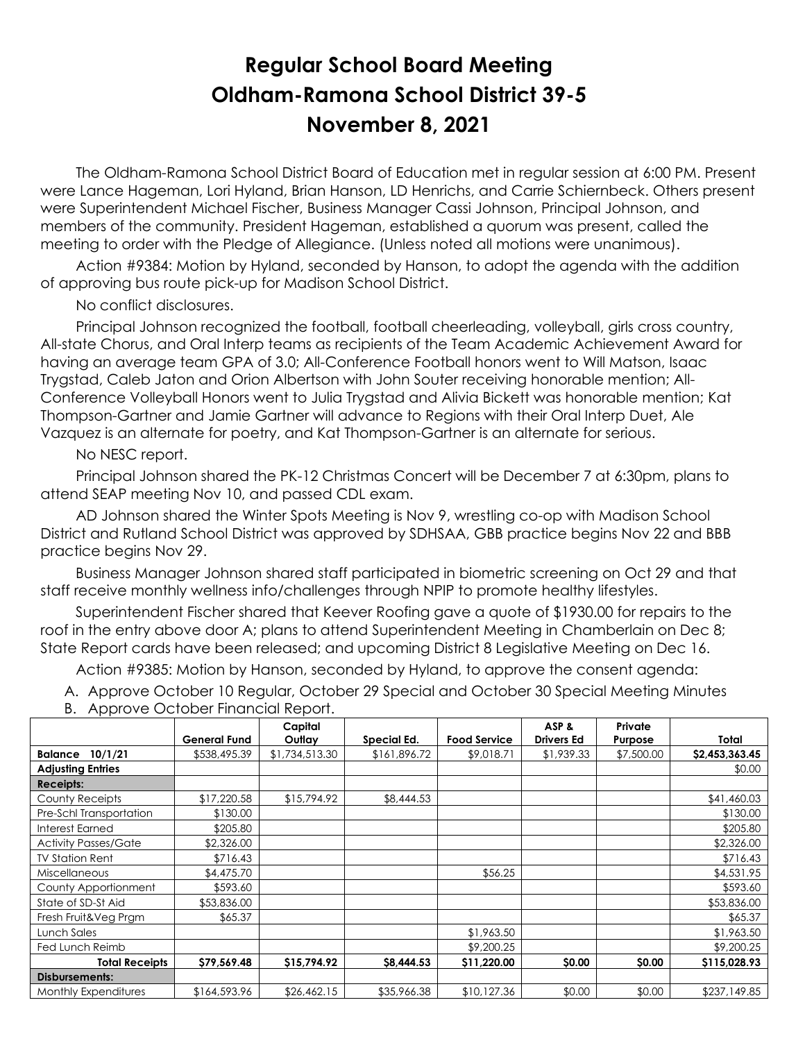## **Regular School Board Meeting Oldham-Ramona School District 39-5 November 8, 2021**

 The Oldham-Ramona School District Board of Education met in regular session at 6:00 PM. Present were Lance Hageman, Lori Hyland, Brian Hanson, LD Henrichs, and Carrie Schiernbeck. Others present were Superintendent Michael Fischer, Business Manager Cassi Johnson, Principal Johnson, and members of the community. President Hageman, established a quorum was present, called the meeting to order with the Pledge of Allegiance. (Unless noted all motions were unanimous).

 Action #9384: Motion by Hyland, seconded by Hanson, to adopt the agenda with the addition of approving bus route pick-up for Madison School District.

No conflict disclosures.

 Principal Johnson recognized the football, football cheerleading, volleyball, girls cross country, All-state Chorus, and Oral Interp teams as recipients of the Team Academic Achievement Award for having an average team GPA of 3.0; All-Conference Football honors went to Will Matson, Isaac Trygstad, Caleb Jaton and Orion Albertson with John Souter receiving honorable mention; All-Conference Volleyball Honors went to Julia Trygstad and Alivia Bickett was honorable mention; Kat Thompson-Gartner and Jamie Gartner will advance to Regions with their Oral Interp Duet, Ale Vazquez is an alternate for poetry, and Kat Thompson-Gartner is an alternate for serious.

No NESC report.

 Principal Johnson shared the PK-12 Christmas Concert will be December 7 at 6:30pm, plans to attend SEAP meeting Nov 10, and passed CDL exam.

 AD Johnson shared the Winter Spots Meeting is Nov 9, wrestling co-op with Madison School District and Rutland School District was approved by SDHSAA, GBB practice begins Nov 22 and BBB practice begins Nov 29.

 Business Manager Johnson shared staff participated in biometric screening on Oct 29 and that staff receive monthly wellness info/challenges through NPIP to promote healthy lifestyles.

 Superintendent Fischer shared that Keever Roofing gave a quote of \$1930.00 for repairs to the roof in the entry above door A; plans to attend Superintendent Meeting in Chamberlain on Dec 8; State Report cards have been released; and upcoming District 8 Legislative Meeting on Dec 16.

Action #9385: Motion by Hanson, seconded by Hyland, to approve the consent agenda:

A. Approve October 10 Regular, October 29 Special and October 30 Special Meeting Minutes

B. Approve October Financial Report.

|                             |              | Capital        |                    |                     | ASP &             | Private    |                |
|-----------------------------|--------------|----------------|--------------------|---------------------|-------------------|------------|----------------|
|                             | General Fund | Outlay         | <b>Special Ed.</b> | <b>Food Service</b> | <b>Drivers Ed</b> | Purpose    | Total          |
| 10/1/21<br><b>Balance</b>   | \$538,495.39 | \$1,734,513.30 | \$161,896.72       | \$9,018.71          | \$1,939.33        | \$7,500.00 | \$2,453,363.45 |
| <b>Adjusting Entries</b>    |              |                |                    |                     |                   |            | \$0.00         |
| <b>Receipts:</b>            |              |                |                    |                     |                   |            |                |
| County Receipts             | \$17,220.58  | \$15,794.92    | \$8,444.53         |                     |                   |            | \$41,460.03    |
| Pre-Schl Transportation     | \$130.00     |                |                    |                     |                   |            | \$130.00       |
| Interest Earned             | \$205.80     |                |                    |                     |                   |            | \$205.80       |
| <b>Activity Passes/Gate</b> | \$2,326.00   |                |                    |                     |                   |            | \$2,326.00     |
| <b>TV Station Rent</b>      | \$716.43     |                |                    |                     |                   |            | \$716.43       |
| <b>Miscellaneous</b>        | \$4,475.70   |                |                    | \$56.25             |                   |            | \$4,531.95     |
| County Apportionment        | \$593.60     |                |                    |                     |                   |            | \$593.60       |
| State of SD-St Aid          | \$53,836.00  |                |                    |                     |                   |            | \$53,836.00    |
| Fresh Fruit&Veg Prgm        | \$65.37      |                |                    |                     |                   |            | \$65.37        |
| Lunch Sales                 |              |                |                    | \$1,963.50          |                   |            | \$1,963.50     |
| Fed Lunch Reimb             |              |                |                    | \$9,200.25          |                   |            | \$9,200.25     |
| <b>Total Receipts</b>       | \$79,569.48  | \$15,794.92    | \$8,444.53         | \$11,220.00         | \$0.00            | \$0.00     | \$115,028.93   |
| Disbursements:              |              |                |                    |                     |                   |            |                |
| <b>Monthly Expenditures</b> | \$164,593.96 | \$26,462.15    | \$35,966.38        | \$10,127.36         | \$0.00            | \$0.00     | \$237,149.85   |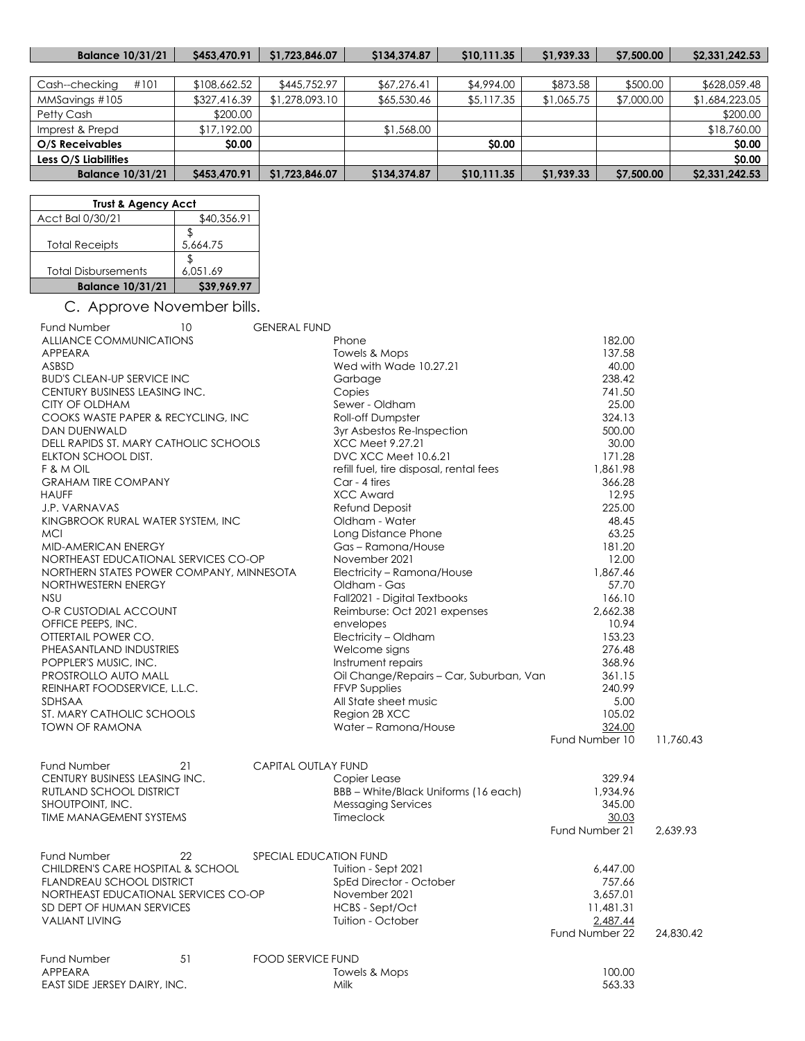| <b>Balance 10/31/21</b> | S453,470.91  | \$1,723,846.07 | \$134,374.87 | \$10,111.35  | \$1,939.33 | \$7,500.00 | \$2,331,242.53 |
|-------------------------|--------------|----------------|--------------|--------------|------------|------------|----------------|
|                         |              |                |              |              |            |            |                |
| #101<br>Cash--checking  | \$108,662.52 | \$445,752,97   | \$67,276.41  | \$4,994.00   | \$873.58   | \$500.00   | \$628,059.48   |
| MMSavings #105          | \$327,416.39 | \$1,278,093.10 | \$65,530.46  | \$5,117.35   | \$1,065.75 | \$7,000.00 | \$1,684,223.05 |
| Petty Cash              | \$200.00     |                |              |              |            |            | \$200.00       |
| Imprest & Prepd         | \$17,192.00  |                | \$1,568.00   |              |            |            | \$18,760.00    |
| O/S Receivables         | <b>SO.00</b> |                |              | <b>SO.00</b> |            |            | \$0.00         |
| Less O/S Liabilities    |              |                |              |              |            |            | \$0.00         |
| <b>Balance 10/31/21</b> | S453,470.91  | \$1,723,846.07 | \$134,374.87 | \$10,111.35  | \$1,939.33 | \$7,500.00 | \$2,331,242.53 |

| <b>Trust &amp; Agency Acct</b> |             |  |  |  |  |
|--------------------------------|-------------|--|--|--|--|
| Acct Bal 0/30/21               | \$40,356.91 |  |  |  |  |
| <b>Total Receipts</b>          | 5,664.75    |  |  |  |  |
| <b>Total Disbursements</b>     | 6.051.69    |  |  |  |  |
| <b>Balance 10/31/21</b>        | \$39,969.97 |  |  |  |  |

## C. Approve November bills.

| <b>Fund Number</b>                       | 10 | <b>GENERAL FUND</b>        |                                         |                |           |
|------------------------------------------|----|----------------------------|-----------------------------------------|----------------|-----------|
| <b>ALLIANCE COMMUNICATIONS</b>           |    |                            | Phone                                   | 182.00         |           |
| APPEARA                                  |    |                            | Towels & Mops                           | 137.58         |           |
| ASBSD                                    |    |                            | Wed with Wade 10.27.21                  | 40.00          |           |
| <b>BUD'S CLEAN-UP SERVICE INC</b>        |    |                            | Garbage                                 | 238.42         |           |
| CENTURY BUSINESS LEASING INC.            |    |                            | Copies                                  | 741.50         |           |
| CITY OF OLDHAM                           |    |                            | Sewer - Oldham                          | 25.00          |           |
| COOKS WASTE PAPER & RECYCLING, INC       |    |                            | Roll-off Dumpster                       | 324.13         |           |
| <b>DAN DUENWALD</b>                      |    |                            | 3yr Asbestos Re-Inspection              | 500.00         |           |
| DELL RAPIDS ST. MARY CATHOLIC SCHOOLS    |    |                            | XCC Meet 9.27.21                        | 30.00          |           |
| ELKTON SCHOOL DIST.                      |    |                            | DVC XCC Meet 10.6.21                    | 171.28         |           |
| F & M OIL                                |    |                            | refill fuel, tire disposal, rental fees | 1,861.98       |           |
| <b>GRAHAM TIRE COMPANY</b>               |    |                            | Car - 4 tires                           | 366.28         |           |
| <b>HAUFF</b>                             |    |                            | <b>XCC Award</b>                        | 12.95          |           |
| J.P. VARNAVAS                            |    |                            | Refund Deposit                          | 225.00         |           |
|                                          |    |                            | Oldham - Water                          | 48.45          |           |
| KINGBROOK RURAL WATER SYSTEM, INC        |    |                            |                                         | 63.25          |           |
| <b>MCI</b>                               |    |                            | Long Distance Phone                     |                |           |
| MID-AMERICAN ENERGY                      |    |                            | Gas-Ramona/House                        | 181.20         |           |
| NORTHEAST EDUCATIONAL SERVICES CO-OP     |    |                            | November 2021                           | 12.00          |           |
| NORTHERN STATES POWER COMPANY, MINNESOTA |    |                            | Electricity - Ramona/House              | 1,867.46       |           |
| NORTHWESTERN ENERGY                      |    |                            | Oldham - Gas                            | 57.70          |           |
| <b>NSU</b>                               |    |                            | Fall2021 - Digital Textbooks            | 166.10         |           |
| O-R CUSTODIAL ACCOUNT                    |    |                            | Reimburse: Oct 2021 expenses            | 2,662.38       |           |
| OFFICE PEEPS, INC.                       |    |                            | envelopes                               | 10.94          |           |
| OTTERTAIL POWER CO.                      |    |                            | Electricity - Oldham                    | 153.23         |           |
| PHEASANTLAND INDUSTRIES                  |    |                            | Welcome signs                           | 276.48         |           |
| POPPLER'S MUSIC, INC.                    |    |                            | Instrument repairs                      | 368.96         |           |
| PROSTROLLO AUTO MALL                     |    |                            | Oil Change/Repairs - Car, Suburban, Van | 361.15         |           |
| REINHART FOODSERVICE, L.L.C.             |    |                            | <b>FFVP Supplies</b>                    | 240.99         |           |
| SDHSAA                                   |    |                            | All State sheet music                   | 5.00           |           |
| ST. MARY CATHOLIC SCHOOLS                |    |                            | Region 2B XCC                           | 105.02         |           |
| <b>TOWN OF RAMONA</b>                    |    |                            | Water - Ramona/House                    | 324.00         |           |
|                                          |    |                            |                                         | Fund Number 10 | 11,760.43 |
|                                          |    |                            |                                         |                |           |
| Fund Number                              | 21 | <b>CAPITAL OUTLAY FUND</b> |                                         |                |           |
| CENTURY BUSINESS LEASING INC.            |    |                            | Copier Lease                            | 329.94         |           |
| RUTLAND SCHOOL DISTRICT                  |    |                            | BBB - White/Black Uniforms (16 each)    | 1,934.96       |           |
| SHOUTPOINT, INC.                         |    |                            | <b>Messaging Services</b>               | 345.00         |           |
| <b>TIME MANAGEMENT SYSTEMS</b>           |    |                            | <b>Timeclock</b>                        | 30.03          |           |
|                                          |    |                            |                                         | Fund Number 21 | 2.639.93  |
| Fund Number                              | 22 | SPECIAL EDUCATION FUND     |                                         |                |           |
| CHILDREN'S CARE HOSPITAL & SCHOOL        |    |                            | Tuition - Sept 2021                     | 6,447.00       |           |
| <b>FLANDREAU SCHOOL DISTRICT</b>         |    |                            | SpEd Director - October                 | 757.66         |           |
| NORTHEAST EDUCATIONAL SERVICES CO-OP     |    |                            | November 2021                           | 3,657.01       |           |
| SD DEPT OF HUMAN SERVICES                |    |                            | HCBS - Sept/Oct                         | 11,481.31      |           |
| <b>VALIANT LIVING</b>                    |    |                            | Tuition - October                       | 2.487.44       |           |
|                                          |    |                            |                                         | Fund Number 22 | 24,830.42 |
|                                          |    |                            |                                         |                |           |
| Fund Number                              | 51 | <b>FOOD SERVICE FUND</b>   |                                         |                |           |
| APPEARA                                  |    |                            | Towels & Mops                           | 100.00         |           |
| EAST SIDE JERSEY DAIRY, INC.             |    |                            | Milk                                    | 563.33         |           |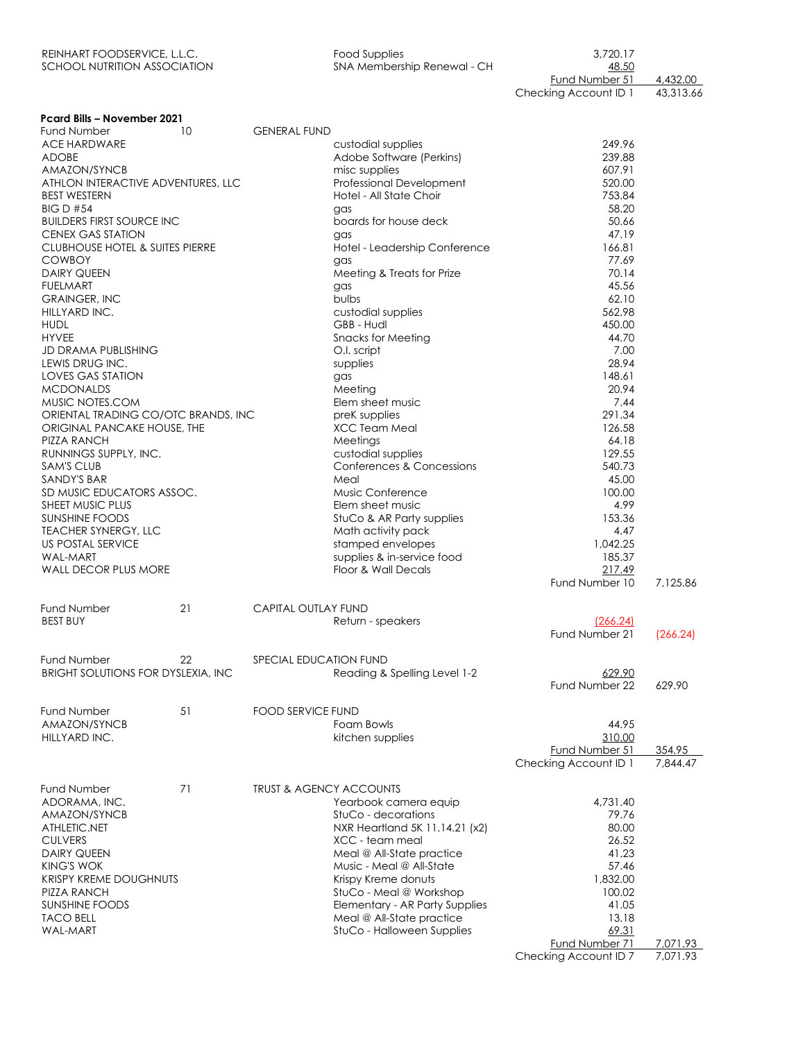| REINHART FOODSERVICE, L.L.C. | Food Supplies               | 3.720.17       |          |
|------------------------------|-----------------------------|----------------|----------|
| SCHOOL NUTRITION ASSOCIATION | SNA Membership Renewal - CH | 48.50          |          |
|                              |                             | Fund Number 51 | 4,432.00 |

Checking Account ID 1 43,313.66

| <b>Pcard Bills - November 2021</b>         |    |                                    |                                                             |                          |          |
|--------------------------------------------|----|------------------------------------|-------------------------------------------------------------|--------------------------|----------|
| <b>Fund Number</b>                         | 10 | <b>GENERAL FUND</b>                |                                                             |                          |          |
| <b>ACE HARDWARE</b>                        |    |                                    | custodial supplies                                          | 249.96                   |          |
| <b>ADOBE</b><br>AMAZON/SYNCB               |    |                                    | Adobe Software (Perkins)<br>misc supplies                   | 239.88<br>607.91         |          |
| ATHLON INTERACTIVE ADVENTURES, LLC         |    |                                    | <b>Professional Development</b>                             | 520.00                   |          |
| <b>BEST WESTERN</b>                        |    |                                    | Hotel - All State Choir                                     | 753.84                   |          |
| <b>BIG D #54</b>                           |    |                                    | gas                                                         | 58.20                    |          |
| <b>BUILDERS FIRST SOURCE INC</b>           |    |                                    | boards for house deck                                       | 50.66                    |          |
| <b>CENEX GAS STATION</b>                   |    |                                    | gas                                                         | 47.19                    |          |
| <b>CLUBHOUSE HOTEL &amp; SUITES PIERRE</b> |    |                                    | Hotel - Leadership Conference                               | 166.81                   |          |
| <b>COWBOY</b>                              |    |                                    | gas                                                         | 77.69                    |          |
| <b>DAIRY QUEEN</b>                         |    |                                    | Meeting & Treats for Prize                                  | 70.14                    |          |
| <b>FUELMART</b>                            |    |                                    | gas                                                         | 45.56                    |          |
| <b>GRAINGER, INC</b>                       |    |                                    | bulbs                                                       | 62.10<br>562.98          |          |
| HILLYARD INC.<br><b>HUDL</b>               |    |                                    | custodial supplies<br>GBB - Hudl                            | 450.00                   |          |
| <b>HYVEE</b>                               |    |                                    | <b>Snacks for Meeting</b>                                   | 44.70                    |          |
| <b>JD DRAMA PUBLISHING</b>                 |    |                                    | O.I. script                                                 | 7.00                     |          |
| LEWIS DRUG INC.                            |    |                                    | supplies                                                    | 28.94                    |          |
| <b>LOVES GAS STATION</b>                   |    |                                    | gas                                                         | 148.61                   |          |
| <b>MCDONALDS</b>                           |    |                                    | Meeting                                                     | 20.94                    |          |
| MUSIC NOTES.COM                            |    |                                    | Elem sheet music                                            | 7.44                     |          |
| ORIENTAL TRADING CO/OTC BRANDS, INC        |    |                                    | preK supplies                                               | 291.34                   |          |
| ORIGINAL PANCAKE HOUSE, THE                |    |                                    | XCC Team Meal                                               | 126.58                   |          |
| PIZZA RANCH                                |    |                                    | Meetings                                                    | 64.18                    |          |
| RUNNINGS SUPPLY, INC.                      |    |                                    | custodial supplies                                          | 129.55                   |          |
| <b>SAM'S CLUB</b>                          |    |                                    | Conferences & Concessions                                   | 540.73                   |          |
| SANDY'S BAR<br>SD MUSIC EDUCATORS ASSOC.   |    |                                    | Meal<br>Music Conference                                    | 45.00<br>100.00          |          |
| SHEET MUSIC PLUS                           |    |                                    | Elem sheet music                                            | 4.99                     |          |
| <b>SUNSHINE FOODS</b>                      |    |                                    | StuCo & AR Party supplies                                   | 153.36                   |          |
| <b>TEACHER SYNERGY, LLC</b>                |    |                                    | Math activity pack                                          | 4.47                     |          |
| US POSTAL SERVICE                          |    |                                    | stamped envelopes                                           | 1,042.25                 |          |
| <b>WAL-MART</b>                            |    |                                    | supplies & in-service food                                  | 185.37                   |          |
| WALL DECOR PLUS MORE                       |    |                                    | Floor & Wall Decals                                         | 217.49                   |          |
|                                            |    |                                    |                                                             | Fund Number 10           | 7,125.86 |
| <b>Fund Number</b>                         | 21 | <b>CAPITAL OUTLAY FUND</b>         |                                                             |                          |          |
| <b>BEST BUY</b>                            |    |                                    | Return - speakers                                           | (266.24)                 |          |
|                                            |    |                                    |                                                             | Fund Number 21           | (266.24) |
|                                            |    |                                    |                                                             |                          |          |
| <b>Fund Number</b>                         | 22 | SPECIAL EDUCATION FUND             |                                                             |                          |          |
| BRIGHT SOLUTIONS FOR DYSLEXIA, INC         |    |                                    | Reading & Spelling Level 1-2                                | 629.90<br>Fund Number 22 | 629.90   |
|                                            |    |                                    |                                                             |                          |          |
| <b>Fund Number</b>                         | 51 | FOOD SERVICE FUND                  |                                                             |                          |          |
| AMAZON/SYNCB                               |    |                                    | Foam Bowls                                                  | 44.95                    |          |
| HILLYARD INC.                              |    |                                    | kitchen supplies                                            | 310.00                   |          |
|                                            |    |                                    |                                                             | Fund Number 51           | 354.95   |
|                                            |    |                                    |                                                             | Checking Account ID 1    | 7,844.47 |
| <b>Fund Number</b>                         | 71 | <b>TRUST &amp; AGENCY ACCOUNTS</b> |                                                             |                          |          |
| ADORAMA, INC.                              |    |                                    | Yearbook camera equip                                       | 4,731.40                 |          |
| AMAZON/SYNCB                               |    |                                    | StuCo - decorations                                         | 79.76                    |          |
| ATHLETIC.NET                               |    |                                    | NXR Heartland 5K 11.14.21 (x2)                              | 80.00                    |          |
| <b>CULVERS</b>                             |    |                                    | XCC - team meal                                             | 26.52                    |          |
| <b>DAIRY QUEEN</b>                         |    |                                    | Meal @ All-State practice                                   | 41.23                    |          |
| <b>KING'S WOK</b>                          |    |                                    | Music - Meal @ All-State                                    | 57.46                    |          |
| <b>KRISPY KREME DOUGHNUTS</b>              |    |                                    | Krispy Kreme donuts                                         | 1,832.00                 |          |
| PIZZA RANCH                                |    |                                    | StuCo - Meal @ Workshop                                     | 100.02                   |          |
| <b>SUNSHINE FOODS</b><br><b>TACO BELL</b>  |    |                                    | Elementary - AR Party Supplies<br>Meal @ All-State practice | 41.05<br>13.18           |          |
| <b>WAL-MART</b>                            |    |                                    | StuCo - Halloween Supplies                                  | 69.31                    |          |
|                                            |    |                                    |                                                             | Fund Number 71           | 7,071.93 |
|                                            |    |                                    |                                                             | Checking Account ID 7    | 7,071.93 |